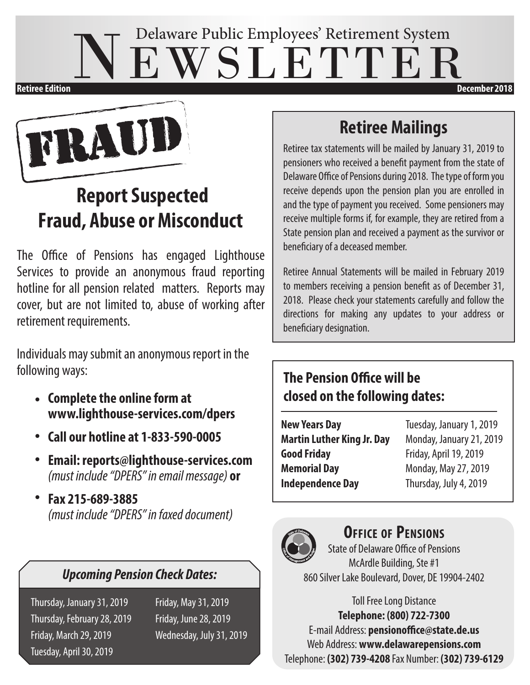## EWSLETTER Delaware Public Employees' Retirement System **Retiree Edition December 2018**

TRAUI

## **Report Suspected Fraud, Abuse or Misconduct**

The Office of Pensions has engaged Lighthouse Services to provide an anonymous fraud reporting hotline for all pension related matters. Reports may cover, but are not limited to, abuse of working after retirement requirements.

Individuals may submit an anonymous report in the following ways:

- **Complete the online form at www.lighthouse-services.com/dpers**
- **Call our hotline at 1-833-590-0005** •
- **Email: reports@lighthouse-services.com**  *(must include "DPERS" in email message)* **or**
- **Fax 215-689-3885**  *(must include "DPERS" in faxed document)* •

### *Upcoming Pension Check Dates:*

Thursday, January 31, 2019 Friday, May 31, 2019 Thursday, February 28, 2019 Friday, June 28, 2019 Friday, March 29, 2019 Wednesday, July 31, 2019 Tuesday, April 30, 2019

### **Retiree Mailings**

Retiree tax statements will be mailed by January 31, 2019 to pensioners who received a benefit payment from the state of Delaware Office of Pensions during 2018. The type of form you receive depends upon the pension plan you are enrolled in and the type of payment you received. Some pensioners may receive multiple forms if, for example, they are retired from a State pension plan and received a payment as the survivor or beneficiary of a deceased member.

Retiree Annual Statements will be mailed in February 2019 to members receiving a pension benefit as of December 31, 2018. Please check your statements carefully and follow the directions for making any updates to your address or beneficiary designation.

### **The Pension Office will be closed on the following dates:**

| <b>New Years Day</b>              |
|-----------------------------------|
| <b>Martin Luther King Jr. Day</b> |
| <b>Good Friday</b>                |
| <b>Memorial Day</b>               |
| <b>Independence Day</b>           |

**New Years Day** Tuesday, January 1, 2019 **Martin Luther King Jr. Day** Monday, January 21, 2019 **Good Friday** Friday, April 19, 2019 **Memorial Day** Monday, May 27, 2019 Thursday, July 4, 2019



#### **Office of Pensions**

State of Delaware Office of Pensions McArdle Building, Ste #1 860 Silver Lake Boulevard, Dover, DE 19904-2402

Toll Free Long Distance **Telephone: (800) 722-7300** E-mail Address: **pensionoffice@state.de.us** Web Address: **www.delawarepensions.com** Telephone: **(302) 739-4208** Fax Number: **(302) 739-6129**